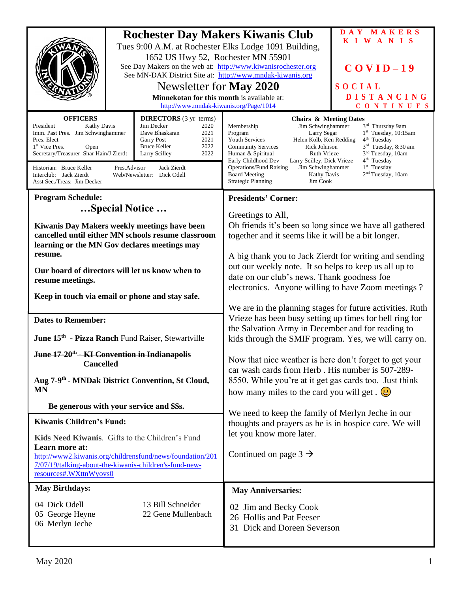|                                                                                                                                                                                                                                                                                                                                                              | 1652 US Hwy 52, Rochester MN 55901<br>Newsletter for <b>May 2020</b><br>Minnekotan for this month is available at:<br>http://www.mndak-kiwanis.org/Page/1014 | <b>Rochester Day Makers Kiwanis Club</b><br>Tues 9:00 A.M. at Rochester Elks Lodge 1091 Building,<br>See Day Makers on the web at: http://www.kiwanisrochester.org<br>See MN-DAK District Site at: http://www.mndak-kiwanis.org                                                                                                                                                                                                                                                                                                                                                                                                                                               | DAY MAKERS<br><b>KIWANIS</b><br>$COVID-19$<br>SOCIAL<br><b>DISTANCING</b><br>CONTINUES |
|--------------------------------------------------------------------------------------------------------------------------------------------------------------------------------------------------------------------------------------------------------------------------------------------------------------------------------------------------------------|--------------------------------------------------------------------------------------------------------------------------------------------------------------|-------------------------------------------------------------------------------------------------------------------------------------------------------------------------------------------------------------------------------------------------------------------------------------------------------------------------------------------------------------------------------------------------------------------------------------------------------------------------------------------------------------------------------------------------------------------------------------------------------------------------------------------------------------------------------|----------------------------------------------------------------------------------------|
|                                                                                                                                                                                                                                                                                                                                                              |                                                                                                                                                              |                                                                                                                                                                                                                                                                                                                                                                                                                                                                                                                                                                                                                                                                               |                                                                                        |
| <b>DIRECTORS</b> (3 yr terms)<br><b>OFFICERS</b><br>Jim Decker<br>President<br><b>Kathy Davis</b><br>2020<br>Imm. Past Pres. Jim Schwinghammer<br>Dave Bhaskaran<br>2021<br>2021<br>Pres. Elect<br><b>Garry Post</b><br>2022<br><b>Bruce Keller</b><br>1 <sup>st</sup> Vice Pres.<br>Open<br>Secretary/Treasurer Shar Hain/J Zierdt<br>2022<br>Larry Scilley |                                                                                                                                                              | <b>Chairs &amp; Meeting Dates</b><br>Jim Schwinghammer<br>Membership<br>3 <sup>rd</sup> Thursday 9am<br>$1st$ Tuesday, 10:15am<br>Program<br>Larry Segar<br>Helen Kolb, Ken Redding<br>$4th$ Tuesday<br><b>Youth Services</b><br>3 <sup>rd</sup> Tuesday, 8:30 am<br>Rick Johnson<br><b>Community Services</b><br>3 <sup>nd</sup> Tuesday, 10am<br>Human & Spiritual<br>Ruth Vrieze<br>4 <sup>th</sup> Tuesday<br>Early Childhood Dev<br>Larry Scilley, Dick Vrieze<br>1 <sup>st</sup> Tuesday<br><b>Operations/Fund Raising</b><br>Jim Schwinghammer<br>2 <sup>nd</sup> Tuesday, 10am<br><b>Board Meeting</b><br><b>Kathy Davis</b><br><b>Strategic Planning</b><br>Jim Cook |                                                                                        |
| Pres.Advisor<br>Jack Zierdt<br>Historian: Bruce Keller<br>Interclub: Jack Zierdt<br>Web/Newsletter: Dick Odell<br>Asst Sec./Treas: Jim Decker                                                                                                                                                                                                                |                                                                                                                                                              |                                                                                                                                                                                                                                                                                                                                                                                                                                                                                                                                                                                                                                                                               |                                                                                        |
| <b>Program Schedule:</b>                                                                                                                                                                                                                                                                                                                                     |                                                                                                                                                              | <b>Presidents' Corner:</b>                                                                                                                                                                                                                                                                                                                                                                                                                                                                                                                                                                                                                                                    |                                                                                        |
| Special Notice                                                                                                                                                                                                                                                                                                                                               |                                                                                                                                                              | Greetings to All,<br>Oh friends it's been so long since we have all gathered<br>together and it seems like it will be a bit longer.                                                                                                                                                                                                                                                                                                                                                                                                                                                                                                                                           |                                                                                        |
| Kiwanis Day Makers weekly meetings have been<br>cancelled until either MN schools resume classroom<br>learning or the MN Gov declares meetings may                                                                                                                                                                                                           |                                                                                                                                                              |                                                                                                                                                                                                                                                                                                                                                                                                                                                                                                                                                                                                                                                                               |                                                                                        |
| resume.                                                                                                                                                                                                                                                                                                                                                      |                                                                                                                                                              | A big thank you to Jack Zierdt for writing and sending<br>out our weekly note. It so helps to keep us all up to<br>date on our club's news. Thank goodness foe<br>electronics. Anyone willing to have Zoom meetings?<br>We are in the planning stages for future activities. Ruth<br>Vrieze has been busy setting up times for bell ring for<br>the Salvation Army in December and for reading to<br>kids through the SMIF program. Yes, we will carry on.<br>Now that nice weather is here don't forget to get your<br>car wash cards from Herb. His number is 507-289-                                                                                                      |                                                                                        |
| Our board of directors will let us know when to<br>resume meetings.                                                                                                                                                                                                                                                                                          |                                                                                                                                                              |                                                                                                                                                                                                                                                                                                                                                                                                                                                                                                                                                                                                                                                                               |                                                                                        |
| Keep in touch via email or phone and stay safe.                                                                                                                                                                                                                                                                                                              |                                                                                                                                                              |                                                                                                                                                                                                                                                                                                                                                                                                                                                                                                                                                                                                                                                                               |                                                                                        |
| <b>Dates to Remember:</b>                                                                                                                                                                                                                                                                                                                                    |                                                                                                                                                              |                                                                                                                                                                                                                                                                                                                                                                                                                                                                                                                                                                                                                                                                               |                                                                                        |
| June 15 <sup>th</sup> - Pizza Ranch Fund Raiser, Stewartville                                                                                                                                                                                                                                                                                                |                                                                                                                                                              |                                                                                                                                                                                                                                                                                                                                                                                                                                                                                                                                                                                                                                                                               |                                                                                        |
| June 17-20 <sup>th</sup> - KI Convention in Indianapolis<br><b>Cancelled</b>                                                                                                                                                                                                                                                                                 |                                                                                                                                                              |                                                                                                                                                                                                                                                                                                                                                                                                                                                                                                                                                                                                                                                                               |                                                                                        |
| Aug 7-9 <sup>th</sup> - MNDak District Convention, St Cloud,<br><b>MN</b>                                                                                                                                                                                                                                                                                    |                                                                                                                                                              | 8550. While you're at it get gas cards too. Just think<br>how many miles to the card you will get. $\left(\frac{1}{2}\right)$                                                                                                                                                                                                                                                                                                                                                                                                                                                                                                                                                 |                                                                                        |
| Be generous with your service and \$\$s.                                                                                                                                                                                                                                                                                                                     |                                                                                                                                                              |                                                                                                                                                                                                                                                                                                                                                                                                                                                                                                                                                                                                                                                                               |                                                                                        |
| <b>Kiwanis Children's Fund:</b>                                                                                                                                                                                                                                                                                                                              |                                                                                                                                                              | We need to keep the family of Merlyn Jeche in our<br>thoughts and prayers as he is in hospice care. We will<br>let you know more later.                                                                                                                                                                                                                                                                                                                                                                                                                                                                                                                                       |                                                                                        |
| Kids Need Kiwanis. Gifts to the Children's Fund<br>Learn more at:                                                                                                                                                                                                                                                                                            |                                                                                                                                                              |                                                                                                                                                                                                                                                                                                                                                                                                                                                                                                                                                                                                                                                                               |                                                                                        |
| http://www2.kiwanis.org/childrensfund/news/foundation/201<br>7/07/19/talking-about-the-kiwanis-children's-fund-new-<br>resources#.WXttnWyovs0                                                                                                                                                                                                                |                                                                                                                                                              | Continued on page $3 \rightarrow$                                                                                                                                                                                                                                                                                                                                                                                                                                                                                                                                                                                                                                             |                                                                                        |
| <b>May Birthdays:</b>                                                                                                                                                                                                                                                                                                                                        |                                                                                                                                                              | <b>May Anniversaries:</b>                                                                                                                                                                                                                                                                                                                                                                                                                                                                                                                                                                                                                                                     |                                                                                        |
| 04 Dick Odell<br>05 George Heyne<br>06 Merlyn Jeche                                                                                                                                                                                                                                                                                                          | 13 Bill Schneider<br>22 Gene Mullenbach                                                                                                                      | 02 Jim and Becky Cook<br>26 Hollis and Pat Feeser<br>31 Dick and Doreen Severson                                                                                                                                                                                                                                                                                                                                                                                                                                                                                                                                                                                              |                                                                                        |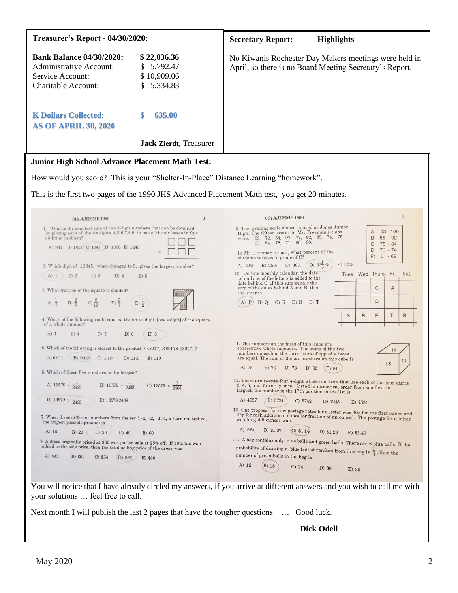| <b>Treasurer's Report - 04/30/2020:</b>                                                                                                                                                                                                                                                                                                                                                                                                                                             |                                                                                                                                                                              | <b>Secretary Report:</b><br><b>Highlights</b>                                                                                                                                                                                                                                                                                                                                                                                                                                                                                                                                                                                                                                                                                             |  |  |
|-------------------------------------------------------------------------------------------------------------------------------------------------------------------------------------------------------------------------------------------------------------------------------------------------------------------------------------------------------------------------------------------------------------------------------------------------------------------------------------|------------------------------------------------------------------------------------------------------------------------------------------------------------------------------|-------------------------------------------------------------------------------------------------------------------------------------------------------------------------------------------------------------------------------------------------------------------------------------------------------------------------------------------------------------------------------------------------------------------------------------------------------------------------------------------------------------------------------------------------------------------------------------------------------------------------------------------------------------------------------------------------------------------------------------------|--|--|
| <b>Bank Balance 04/30/2020:</b><br><b>Administrative Account:</b><br>Service Account:<br><b>Charitable Account:</b>                                                                                                                                                                                                                                                                                                                                                                 | \$22,036.36<br>5,792.47<br>S.<br>\$10,909.06<br>5,334.83<br>\$.                                                                                                              | No Kiwanis Rochester Day Makers meetings were held in<br>April, so there is no Board Meeting Secretary's Report.                                                                                                                                                                                                                                                                                                                                                                                                                                                                                                                                                                                                                          |  |  |
| <b>K Dollars Collected:</b><br><b>AS OF APRIL 30, 2020</b>                                                                                                                                                                                                                                                                                                                                                                                                                          | 635.00                                                                                                                                                                       |                                                                                                                                                                                                                                                                                                                                                                                                                                                                                                                                                                                                                                                                                                                                           |  |  |
|                                                                                                                                                                                                                                                                                                                                                                                                                                                                                     | <b>Jack Zierdt</b> , Treasurer                                                                                                                                               |                                                                                                                                                                                                                                                                                                                                                                                                                                                                                                                                                                                                                                                                                                                                           |  |  |
| <b>Junior High School Advance Placement Math Test:</b>                                                                                                                                                                                                                                                                                                                                                                                                                              |                                                                                                                                                                              |                                                                                                                                                                                                                                                                                                                                                                                                                                                                                                                                                                                                                                                                                                                                           |  |  |
| How would you score? This is your "Shelter-In-Place" Distance Learning "homework".                                                                                                                                                                                                                                                                                                                                                                                                  |                                                                                                                                                                              |                                                                                                                                                                                                                                                                                                                                                                                                                                                                                                                                                                                                                                                                                                                                           |  |  |
| This is the first two pages of the 1990 JHS Advanced Placement Math test, you get 20 minutes.                                                                                                                                                                                                                                                                                                                                                                                       |                                                                                                                                                                              |                                                                                                                                                                                                                                                                                                                                                                                                                                                                                                                                                                                                                                                                                                                                           |  |  |
| 6th AJHSME 1990                                                                                                                                                                                                                                                                                                                                                                                                                                                                     | $\overline{2}$                                                                                                                                                               | 3<br>6th AJHSME 1990                                                                                                                                                                                                                                                                                                                                                                                                                                                                                                                                                                                                                                                                                                                      |  |  |
| 1. What is the smallest sum of two 3-digit numbers that can be obtained<br>by placing each of the six digits 4,5,6,7,8,9 in one of the six boxes in this<br>addition problem?<br>A) 947 B) 1037 C) 1047 D) 1056 E) 1245<br>2. Which digit of .12345, when changed to 9, gives the largest number?<br>A) 1 B) 2<br>$C)$ 3<br>$D)$ 4<br>$E)$ 5<br>3. What fraction of the square is shaded?<br>A) $\frac{1}{3}$ B) $\frac{2}{5}$ C) $\frac{5}{12}$ D) $\frac{3}{7}$ (E) $\frac{1}{2}$ |                                                                                                                                                                              | 9. The grading scale shown is used at Jones Junior<br>A: 93 -100<br>High. The fifteen scores in Mr. Freeman's class<br>were: 89, 72, 54, 97, 77, 92, 85, 74, 75,<br>B: 85 - 92<br>63, 84, 78, 71, 80, 90.<br>$C: 75 - 84$<br>$D: 70 - 74$<br>In Mr. Freeman's class, what percent of the<br>$F: 0 - 69$<br>students received a grade of C?<br>D) $33\frac{1}{2}\%$<br>E) 40%<br>C) 30%<br>A) $20\%$ B) $25\%$<br>10. On this monthly calendar, the date<br>Tues. Wed. Thurs. Fri. Sat.<br>behind one of the letters is added to the<br>date behind C. If this sum equals the<br>$\mathsf{C}$<br>sum of the dates behind A and B, then<br>A<br>the letter is<br>$\Omega$<br>A) $P$ B) Q C) R D) S E) T<br>B<br>P<br>$\mathsf{R}$<br>S<br>Т |  |  |
| 4. Which of the following could not be the unit's digit [one's digit] of the square<br>of a whole number?                                                                                                                                                                                                                                                                                                                                                                           |                                                                                                                                                                              |                                                                                                                                                                                                                                                                                                                                                                                                                                                                                                                                                                                                                                                                                                                                           |  |  |
| A)1<br>$B)$ 4<br>C) 5<br>D) 6<br>5. Which of the following is closest to the product (.48017)(.48017)(.48017)?<br>A) 0.011 B) 0.110 C) 1.10<br>$D)$ 11.0<br>6. Which of these five numbers is the largest?                                                                                                                                                                                                                                                                          | E)8<br>$E)$ 110                                                                                                                                                              | 11. The numbers on the faces of this cube are<br>consecutive whole numbers. The sums of the two<br>14<br>numbers on each of the three pairs of opposite faces<br>are equal. The sum of the six numbers on this cube is<br>11<br>15<br>A) 75<br>B) 76<br>$C)$ 78<br>D) 80<br>E) 81                                                                                                                                                                                                                                                                                                                                                                                                                                                         |  |  |
| A) $13579 + \frac{1}{2468}$ B) $13579 - \frac{1}{2468}$                                                                                                                                                                                                                                                                                                                                                                                                                             | C) 13579 $\times \frac{1}{2468}$                                                                                                                                             | 12. There are twenty-four 4-digit whole numbers that use each of the four digits<br>2, 4, 5, and 7 exactly once. Listed in numerical order from smallest to<br>largest, the number in the 17th position in the list is                                                                                                                                                                                                                                                                                                                                                                                                                                                                                                                    |  |  |
| D) 13579 $\div \frac{1}{2468}$<br>E) 13579.2468                                                                                                                                                                                                                                                                                                                                                                                                                                     |                                                                                                                                                                              | A) 4527<br>B) 5724<br>C) 5742<br>D) 7245<br>E) 7524                                                                                                                                                                                                                                                                                                                                                                                                                                                                                                                                                                                                                                                                                       |  |  |
| 7. When three different numbers from the set $(-3, -2, -1, 4, 5)$ are multiplied,<br>the largest possible product is                                                                                                                                                                                                                                                                                                                                                                |                                                                                                                                                                              | 13. One proposal for new postage rates for a letter was $30\mathit{\varphi}$ for the first ounce and<br>22¢ for each additional ounce (or fraction of an ounce). The postage for a letter<br>weighing 4.5 ounces was                                                                                                                                                                                                                                                                                                                                                                                                                                                                                                                      |  |  |
| A) 10<br>$B)$ 20<br>$C)$ 30<br>D) 40                                                                                                                                                                                                                                                                                                                                                                                                                                                | $E)$ 60                                                                                                                                                                      | A) $96¢$<br>B) \$1.07<br>$(C)$ \$1.18<br>D) \$1.20<br>E) \$1.40                                                                                                                                                                                                                                                                                                                                                                                                                                                                                                                                                                                                                                                                           |  |  |
| 8. A dress originally priced at \$80 was put on sale at 25% off. If 10% tax was<br>added to the sale price, then the total selling price of the dress was                                                                                                                                                                                                                                                                                                                           | 14. A bag contains only blue balls and green balls. There are 6 blue balls. If the<br>probability of drawing a blue ball at random from this bag is $\frac{1}{4}$ , then the |                                                                                                                                                                                                                                                                                                                                                                                                                                                                                                                                                                                                                                                                                                                                           |  |  |
| A) \$45<br>B) \$52<br>$C)$ \$54<br>D) \$66                                                                                                                                                                                                                                                                                                                                                                                                                                          | E) \$68                                                                                                                                                                      | number of green balls in the bag is<br>A) 12<br><b>B</b> ) 18<br>$C)$ 24<br>$D)$ 30<br>$E)$ 36                                                                                                                                                                                                                                                                                                                                                                                                                                                                                                                                                                                                                                            |  |  |
| You will notice that I have already circled my answers, if you arrive at different answers and you wish to call me with<br>your solutions  feel free to call.<br>Next month I will publish the last 2 pages that have the tougher questions  Good luck.                                                                                                                                                                                                                             |                                                                                                                                                                              |                                                                                                                                                                                                                                                                                                                                                                                                                                                                                                                                                                                                                                                                                                                                           |  |  |

**Dick Odell**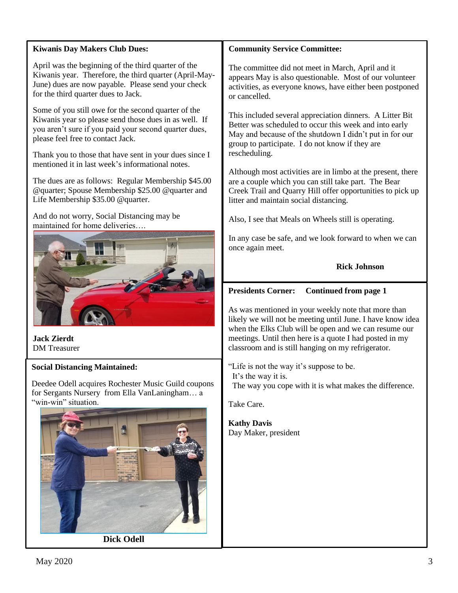# **Kiwanis Day Makers Club Dues:**

April was the beginning of the third quarter of the Kiwanis year. Therefore, the third quarter (April-May-June) dues are now payable. Please send your check for the third quarter dues to Jack.

Some of you still owe for the second quarter of the Kiwanis year so please send those dues in as well. If you aren't sure if you paid your second quarter dues, please feel free to contact Jack.

Thank you to those that have sent in your dues since I mentioned it in last week's informational notes.

The dues are as follows: Regular Membership \$45.00 @quarter; Spouse Membership \$25.00 @quarter and Life Membership \$35.00 @quarter.

And do not worry, Social Distancing may be maintained for home deliveries….



**Jack Zierdt** DM Treasurer

### **Social Distancing Maintained:**

Deedee Odell acquires Rochester Music Guild coupons for Sergants Nursery from Ella VanLaningham… a "win-win" situation.



**Dick Odell**

### **Community Service Committee:**

The committee did not meet in March, April and it appears May is also questionable. Most of our volunteer activities, as everyone knows, have either been postponed or cancelled.

This included several appreciation dinners. A Litter Bit Better was scheduled to occur this week and into early May and because of the shutdown I didn't put in for our group to participate. I do not know if they are rescheduling.

Although most activities are in limbo at the present, there are a couple which you can still take part. The Bear Creek Trail and Quarry Hill offer opportunities to pick up litter and maintain social distancing.

Also, I see that Meals on Wheels still is operating.

In any case be safe, and we look forward to when we can once again meet.

**Rick Johnson**

# **Presidents Corner: Continued from page 1**

As was mentioned in your weekly note that more than likely we will not be meeting until June. I have know idea when the Elks Club will be open and we can resume our meetings. Until then here is a quote I had posted in my classroom and is still hanging on my refrigerator.

"Life is not the way it's suppose to be. It's the way it is. The way you cope with it is what makes the difference.

Take Care.

**Kathy Davis** Day Maker, president